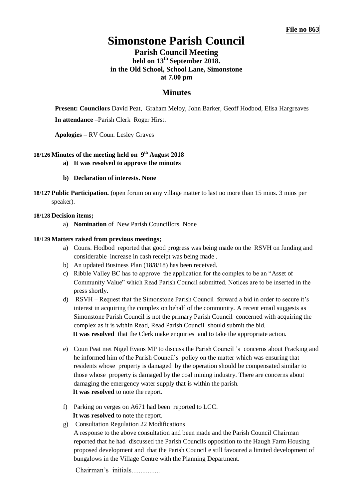# **Simonstone Parish Council**

# **Parish Council Meeting held on 13th September 2018. in the Old School, School Lane, Simonstone at 7.00 pm**

# **Minutes**

**Present: Councilors** David Peat,Graham Meloy, John Barker, Geoff Hodbod, Elisa Hargreaves **In attendance** –Parish Clerk Roger Hirst.

**Apologies –** RV Coun. Lesley Graves

# **18/126 Minutes of the meeting held on 9 th August 2018**

- **a) It was resolved to approve the minutes**
- **b) Declaration of interests. None**
- **18/127 Public Participation.** (open forum on any village matter to last no more than 15 mins. 3 mins per speaker).

# **18/128 Decision items;**

a) **Nomination** of New Parish Councillors. None

# **18/129 Matters raised from previous meetings;**

- a) Couns. Hodbod reported that good progress was being made on the RSVH on funding and considerable increase in cash receipt was being made .
- b) An updated Business Plan (18/8/18) has been received.
- c) Ribble Valley BC has to approve the application for the complex to be an "Asset of Community Value" which Read Parish Council submitted. Notices are to be inserted in the press shortly.
- d) RSVH Request that the Simonstone Parish Council forward a bid in order to secure it's interest in acquiring the complex on behalf of the community. A recent email suggests as Simonstone Parish Council is not the primary Parish Council concerned with acquiring the complex as it is within Read, Read Parish Council should submit the bid. **It was resolved** that the Clerk make enquiries and to take the appropriate action.
- e) Coun Peat met Nigel Evans MP to discuss the Parish Council 's concerns about Fracking and he informed him of the Parish Council's policy on the matter which was ensuring that residents whose property is damaged by the operation should be compensated similar to those whose property is damaged by the coal mining industry. There are concerns about damaging the emergency water supply that is within the parish. **It was resolved** to note the report.
- f) Parking on verges on A671 had been reported to LCC. **It was resolved** to note the report.
- g) Consultation Regulation 22 Modifications

A response to the above consultation and been made and the Parish Council Chairman reported that he had discussed the Parish Councils opposition to the Haugh Farm Housing proposed development and that the Parish Council e still favoured a limited development of bungalows in the Village Centre with the Planning Department.

Chairman's initials................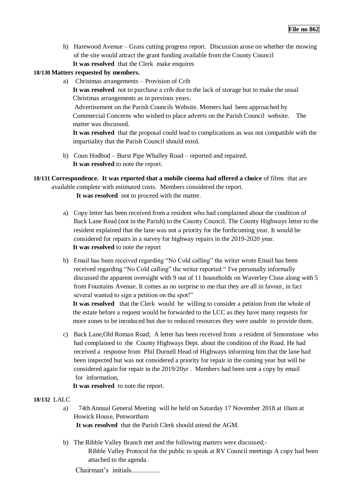- h) Harewood Avenue Grass cutting progress report. Discussion arose on whether the mowing of the site would attract the grant funding available from the County Council
	- **It was resolved** that the Clerk make enquires

#### **18/130 Matters requested by members.**

a) Christmas arrangements – Provision of Crib

**It was resolved** not to purchase a crib due to the lack of storage but to make the usual Christmas arrangements as in previous years.

Advertisement on the Parish Councils Website. Memers had been approached by Commercial Concerns who wished to place adverts on the Parish Council website. The matter was discussed.

**It was resolved** that the proposal could lead to complications as was not compatible with the impartiality that the Parish Council should extol.

- b) Coun Hodbod Burst Pipe Whalley Road reported and repaired. **It was resolved** to note the report.
- **18/131 Correspondence. It was reported that a mobile cinema had offered a choice** of films that are

available complete with estimated costs. Members considered the report.

**It was resolved** not to proceed with the matter.

- a) Copy letter has been received from a resident who had complained about the condition of Back Lane Read (not in the Parish) to the County Council. The County Highways letter to the resident explained that the lane was not a priority for the forthcoming year. It would be considered for repairs in a survey for highway repairs in the 2019-2020 year. **It was resolved** to note the report
- b) Email has been received regarding "No Cold calling" the writer wrote Email has been received regarding "No Cold calling" the writer reported " I've personally informally discussed the apparent oversight with 9 out of 11 households on Waverley Close along with 5 from Fountains Avenue. It comes as no surprise to me that they are all in favour, in fact several wanted to sign a petition on the spot!"

**It was resolved** that the Clerk would be willing to consider a petition from the whole of the estate before a request would be forwarded to the LCC as they have many requests for more zones to be inroduced but due to reduced resources they were unable to provide them.

c) Back Lane,Old Roman Road; A letter has been received from a resident of Simonstone who had complained to the County Highways Dept. about the condition of the Road. He had received a response from Phil Durnell Head of Highways informing him that the lane had been inspected but was not considered a priority for repair in the coming year but will be considered again for repair in the 2019/20yr . Members had been sent a copy by email for information,

**It was resolved** to note the report.

# **18/132** LALC

a)74thAnnual General Meeting will be held on Saturday 17 November 2018 at 10am at Howick House, Penwortham

 **It was resolved** that the Parish Clerk should attend the AGM.

b) The Ribble Valley Branch met and the following matters were discussed;- Ribble Valley Protocol for the public to speak at RV Council meetings A copy had been attached to the agenda.

Chairman's initials................